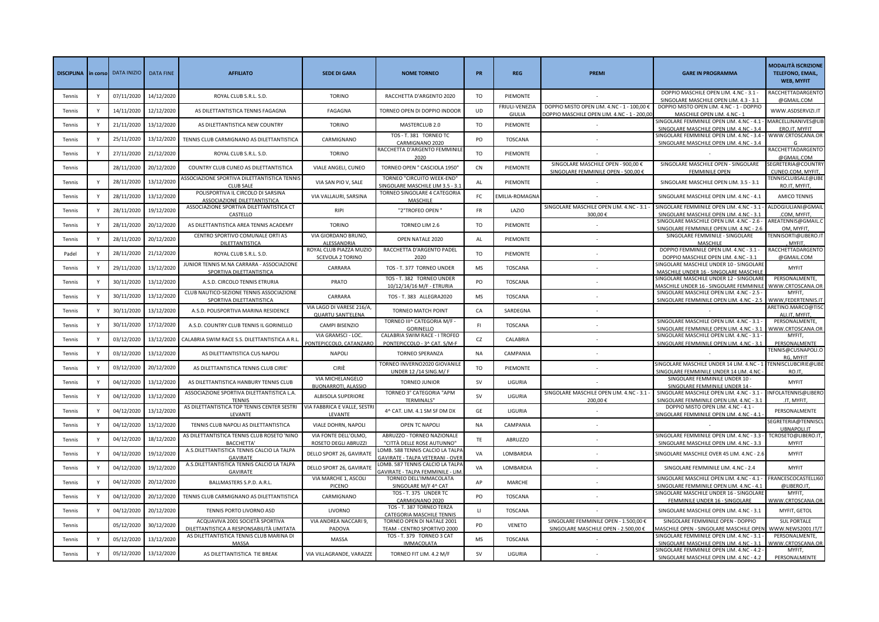| <b>DISCIPLINA</b> |              | in corso DATA INIZIO | <b>DATA FINE</b> | <b>AFFILIATO</b>                                                                      | <b>SEDE DI GARA</b>                                   | <b>NOME TORNEO</b>                                                         | PR        | <b>REG</b>               | <b>PREMI</b>                                                                              | <b>GARE IN PROGRAMMA</b>                                                              | <b>MODALITÀ ISCRIZIONE</b><br><b>TELEFONO, EMAIL,</b><br><b>WEB, MYFIT</b> |
|-------------------|--------------|----------------------|------------------|---------------------------------------------------------------------------------------|-------------------------------------------------------|----------------------------------------------------------------------------|-----------|--------------------------|-------------------------------------------------------------------------------------------|---------------------------------------------------------------------------------------|----------------------------------------------------------------------------|
| Tennis            |              | 07/11/2020           | 14/12/2020       | ROYAL CLUB S.R.L. S.D.                                                                | <b>TORINO</b>                                         | RACCHETTA D'ARGENTO 2020                                                   | TO        | PIEMONTE                 |                                                                                           | DOPPIO MASCHILE OPEN LIM. 4.NC - 3.1 -<br>SINGOLARE MASCHILE OPEN LIM. 4.3 - 3.1      | RACCHETTADARGENTO<br>@GMAIL.COM                                            |
| Tennis            |              | 14/11/2020           | 12/12/2020       | AS DILETTANTISTICA TENNIS FAGAGNA                                                     | FAGAGNA                                               | TORNEO OPEN DI DOPPIO INDOOF                                               | <b>UD</b> | FRIULI-VENEZIA<br>GIULIA | DOPPIO MISTO OPEN LIM. 4.NC - 1 - 100,00 €<br>OOPPIO MASCHILE OPEN LIM. 4.NC - 1 - 200,00 | DOPPIO MISTO OPEN LIM. 4.NC - 1 - DOPPIO<br>MASCHILE OPEN LIM, 4.NC - 1               | WWW.ASDSERVIZI.IT                                                          |
| Tennis            | Y            | 21/11/2020           | 13/12/2020       | AS DILETTANTISTICA NEW COUNTRY                                                        | <b>TORINO</b>                                         | MASTERCLUB 2.0                                                             | TO        | PIEMONTE                 |                                                                                           | SINGOLARE FEMMINILE OPEN LIM. 4.NC - 4.1 -<br>SINGOLARE MASCHILE OPEN LIM. 4.NC - 3.4 | MARCELLINANIVES@LIB<br>ERO.IT, MYFIT                                       |
| Tennis            | Y            | 25/11/2020           | 13/12/2020       | TENNIS CLUB CARMIGNANO AS DILETTANTISTICA                                             | CARMIGNANO                                            | TOS - T. 381 TORNEO TC<br>CARMIGNANO 2020                                  | PO        | <b>TOSCANA</b>           |                                                                                           | SINGOLARE FEMMINILE OPEN LIM. 4.NC - 3.4 -<br>SINGOLARE MASCHILE OPEN LIM. 4.NC - 3.4 | WWW.CRTOSCANA.OR                                                           |
| Tennis            | Y            | 27/11/2020           | 21/12/2020       | ROYAL CLUB S.R.L. S.D.                                                                | <b>TORINO</b>                                         | RACCHETTA D'ARGENTO FEMMINILE<br>2020                                      | <b>TO</b> | PIEMONTE                 |                                                                                           |                                                                                       | RACCHETTADARGENTO<br>@GMAIL.COM                                            |
| Tennis            |              | 28/11/2020           | 20/12/2020       | COUNTRY CLUB CUNEO AS DILETTANTISTICA                                                 | VIALE ANGELI, CUNEO                                   | TORNEO OPEN " CASCIOLA 1950'                                               | CN        | PIEMONTE                 | SINGOLARE MASCHILE OPEN - 900,00 €<br>SINGOLARE FEMMINILE OPEN - 500,00 €                 | SINGOLARE MASCHILE OPEN - SINGOLARE<br><b>FEMMINILE OPEN</b>                          | SEGRETERIA@COUNTRY<br>CUNEO.COM, MYFIT,                                    |
| Tennis            |              | 28/11/2020           | 13/12/2020       | ASSOCIAZIONE SPORTIVA DILETTANTISTICA TENNIS<br>CLUB SAL                              | VIA SAN PIO V, SALE                                   | TORNEO "CIRCUITO WEEK-END"<br>SINGOLARE MASCHILE LIM 3.5 - 3.:             | AL        | PIEMONTE                 |                                                                                           | SINGOLARE MASCHILE OPEN LIM. 3.5 - 3.1                                                | <b>FENNISCLUBSALE@LIBE</b><br>RO.IT, MYFIT,                                |
| Tennis            |              | 28/11/2020           | 13/12/2020       | POLISPORTIVA IL CIRCOLO DI SARSINA<br>ASSOCIAZIONE DILETTANTISTICA                    | VIA VALLAURI, SARSINA                                 | TORNEO SINGOLARE 4 CATEGORIA<br>MASCHILE                                   | FC        | EMILIA-ROMAGN            |                                                                                           | SINGOLARE MASCHILE OPEN LIM. 4.NC - 4.1                                               | <b>AMICO TENNIS</b>                                                        |
| Tennis            |              | 28/11/2020           | 19/12/2020       | ASSOCIAZIONE SPORTIVA DILETTANTISTICA CT<br>CASTELLO                                  | <b>RIPI</b>                                           | "2°TROFEO OPEN "                                                           | FR        | LAZIO                    | SINGOLARE MASCHILE OPEN LIM. 4.NC - 3.1 -<br>300,00€                                      | SINGOLARE FEMMINILE OPEN LIM. 4.NC - 3.1 -<br>SINGOLARE MASCHILE OPEN LIM. 4.NC - 3.1 | ALDOGIULIANI@GMAIL<br>.COM, MYFIT,                                         |
| Tennis            |              | 28/11/2020           | 20/12/2020       | AS DILETTANTISTICA AREA TENNIS ACADEMY                                                | <b>TORINO</b>                                         | TORNEO LIM 2.6                                                             | TO        | PIEMONTE                 |                                                                                           | SINGOLARE MASCHILE OPEN LIM. 4.NC - 2.6 -<br>SINGOLARE FEMMINILE OPEN LIM. 4.NC - 2.6 | AREATENNIS@GMAIL.C<br>OM. MYFIT                                            |
| Tennis            |              | 28/11/2020           | 20/12/2020       | CENTRO SPORTIVO COMUNALE ORTI AS<br>DILETTANTISTICA                                   | VIA GIORDANO BRUNO,<br>ALESSANDRIA                    | OPEN NATALE 2020                                                           | AL        | PIEMONTE                 |                                                                                           | SINGOLARE FEMMINILE - SINGOLARE<br><b>MASCHILE</b>                                    | TENNISORTI@LIBERO.IT<br><b>MYFIT</b>                                       |
| Padel             | Y            | 28/11/2020           | 21/12/2020       | ROYAL CLUB S.R.L. S.D.                                                                | ROYAL CLUB PIAZZA MUZIO<br>SCEVOLA 2 TORINO           | RACCHETTA D'ARGENTO PADEL<br>2020                                          | TO        | PIEMONTE                 |                                                                                           | DOPPIO FEMMINILE OPEN LIM. 4.NC - 3.1 -<br>DOPPIO MASCHILE OPEN LIM. 4.NC - 3.1       | RACCHETTADARGENTO<br>@GMAIL.COM                                            |
| Tennis            | Y            | 29/11/2020           | 13/12/2020       | JUNIOR TENNIS M.NA CARRARA - ASSOCIAZIONE<br>SPORTIVA DILETTANTISTICA                 | CARRARA                                               | TOS - T. 377 TORNEO UNDER                                                  | MS        | <b>TOSCANA</b>           |                                                                                           | SINGOLARE MASCHILE UNDER 10 - SINGOLARI<br>MASCHILE UNDER 16 - SINGOLARE MASCHILE     | <b>MYFIT</b>                                                               |
| Tennis            | Y            | 30/11/2020           | 13/12/2020       | A.S.D. CIRCOLO TENNIS ETRURIA                                                         | PRATO                                                 | TOS - T. 382 TORNEO UNDER<br>10/12/14/16 M/F - ETRURIA                     | PO        | TOSCANA                  |                                                                                           | SINGOLARE MASCHILE UNDER 12 - SINGOLARE<br>MASCHILE UNDER 16 - SINGOLARE FEMMINILE    | PERSONALMENTE,<br>VWW.CRTOSCANA.OR                                         |
| Tennis            | Y            | 30/11/2020           | 13/12/2020       | CLUB NAUTICO-SEZIONE TENNIS ASSOCIAZIONE<br>SPORTIVA DILETTANTISTICA                  | CARRARA                                               | TOS - T. 383 ALLEGRA2020                                                   | MS        | <b>TOSCANA</b>           |                                                                                           | SINGOLARE MASCHILE OPEN LIM. 4.NC - 2.5 -<br>SINGOLARE FEMMINILE OPEN LIM. 4.NC - 2.5 | MYFIT,<br>WWW,FEDERTENNIS.IT                                               |
| Tennis            |              | 30/11/2020           | 13/12/2020       | A.S.D. POLISPORTIVA MARINA RESIDENCE                                                  | VIA LAGO DI VARESE 216/A,<br><b>QUARTU SANT'ELENA</b> | TORNEO MATCH POINT                                                         | CA        | SARDEGNA                 |                                                                                           |                                                                                       | ARETINO.MARCO@TISC                                                         |
| Tennis            | <b>V</b>     | 30/11/2020           | 17/12/2020       | A.S.D. COUNTRY CLUB TENNIS IL GORINELLO                                               | CAMPI BISENZIO                                        | TORNEO III^ CATEGORIA M/F<br><b>GORINELLO</b>                              | F1        | TOSCANA                  |                                                                                           | SINGOLARE MASCHILE OPEN LIM. 4.NC - 3.1 -<br>SINGOLARE FEMMINILE OPEN LIM. 4.NC - 3.1 | ALI.IT, MYFIT<br>PERSONALMENTE,<br>WWW.CRTOSCANA.OR                        |
| Tennis            |              | 03/12/2020           | 13/12/2020       | CALABRIA SWIM RACE S.S. DILETTANTISTICA A R.L.                                        | VIA GRAMSCI - LOC.                                    | CALABRIA SWIM RACE - I TROFEO                                              | CZ        | CALABRIA                 |                                                                                           | SINGOLARE MASCHILE OPEN LIM. 4.NC - 3.1 -                                             | MYFIT,                                                                     |
| Tennis            |              | 03/12/2020           | 13/12/2020       | AS DILETTANTISTICA CUS NAPOLI                                                         | PONTEPICCOLO, CATANZARO<br><b>NAPOLI</b>              | PONTEPICCOLO - 3^ CAT. S/M-F<br>TORNEO SPERANZA                            | <b>NA</b> | CAMPANIA                 |                                                                                           | SINGOLARE FEMMINILE OPEN LIM. 4.NC - 3.1                                              | PERSONALMENTE<br>TENNIS@CUSNAPOLI.O                                        |
| Tennis            |              | 03/12/2020           | 20/12/2020       | AS DILETTANTISTICA TENNIS CLUB CIRIE'                                                 | CIRIÈ                                                 | TORNEO INVERNO2020 GIOVANILE                                               | TO        | PIEMONTE                 |                                                                                           | SINGOLARE MASCHILE UNDER 14 LIM. 4.NC - 1                                             | RG, MYFIT<br>TENNISCLUBCIRIE@LIBE                                          |
| Tennis            | Y            | 04/12/2020           | 13/12/2020       | AS DILETTANTISTICA HANBURY TENNIS CLUB                                                | VIA MICHELANGELO                                      | <b>UNDER 12/14 SING.M/F</b><br><b>TORNEO JUNIOR</b>                        | <b>SV</b> | LIGURIA                  |                                                                                           | SINGOLARE FEMMINILE UNDER 14 LIM. 4.NC<br>SINGOLARE FEMMINILE UNDER 10 -              | <b>RO17</b><br><b>MYFIT</b>                                                |
| Tennis            | Y            | 04/12/2020           | 13/12/2020       | ASSOCIAZIONE SPORTIVA DILETTANTISTICA L.A.                                            | <b>BUONARROTI, ALASSIO</b><br>ALBISOLA SUPERIORE      | TORNEO 3° CATEGORIA "APM                                                   | <b>SV</b> | LIGURIA                  | SINGOLARE MASCHILE OPEN LIM. 4.NC - 3.1 -                                                 | SINGOLARE FEMMINILE UNDER 14<br>SINGOLARE MASCHILE OPEN LIM. 4.NC - 3.1 -             | INFOLATENNIS@LIBERO                                                        |
| Tennis            | Y            | 04/12/2020           | 13/12/2020       | <b>TENNIS</b><br>AS DILETTANTISTICA TOP TENNIS CENTER SESTRI                          | VIA FABBRICA E VALLE, SESTRI                          | TERMINALS"<br>4^ CAT. LIM. 4.1 SM SF DM DX                                 | GE        | LIGURIA                  | 200,00€<br>٠                                                                              | SINGOLARE FEMMINILE OPEN LIM. 4.NC - 3.1<br>DOPPIO MISTO OPEN LIM. 4.NC - 4.1 -       | .IT, MYFIT,<br>PERSONALMENTE                                               |
| Tennis            |              | 04/12/2020           | 13/12/2020       | LEVANTE<br>TENNIS CLUB NAPOLI AS DILETTANTISTICA                                      | LEVANTE<br>VIALE DOHRN, NAPOLI                        | OPEN TC NAPOLI                                                             | <b>NA</b> | CAMPANIA                 |                                                                                           | SINGOLARE FEMMINILE OPEN LIM. 4.NC - 4.1 .                                            | SEGRETERIA@TENNISCL                                                        |
| Tennis            |              | 04/12/2020           | 18/12/2020       | AS DILETTANTISTICA TENNIS CLUB ROSETO 'NINO                                           | VIA FONTE DELL'OLMO,                                  | ABRUZZO - TORNEO NAZIONALE                                                 | TE        | ABRUZZO                  |                                                                                           | SINGOLARE FEMMINILE OPEN LIM. 4.NC - 3.3 -                                            | UBNAPOLI.IT<br>TCROSETO@LIBERO.IT,                                         |
| Tennis            |              | 04/12/2020           | 19/12/2020       | <b>BACCHETTA</b><br>A.S.DILETTANTISTICA TENNIS CALCIO LA TALPA                        | ROSETO DEGLI ABRUZZI<br>DELLO SPORT 26, GAVIRATE      | "CITTÀ DELLE ROSE AUTUNNO"<br>OMB. 588 TENNIS CALCIO LA TALPA              | VA        | LOMBARDIA                |                                                                                           | SINGOLARE MASCHILE OPEN LIM. 4.NC - 3.3<br>SINGOLARE MASCHILE OVER 45 LIM. 4.NC - 2.6 | <b>MYFIT</b><br><b>MYFIT</b>                                               |
| Tennis            |              | 04/12/2020           | 19/12/2020       | <b>GAVIRATE</b><br>A.S.DILETTANTISTICA TENNIS CALCIO LA TALPA                         | DELLO SPORT 26, GAVIRATE                              | <b>GAVIRATE - TALPA VETERANI - OVER</b><br>OMB. 587 TENNIS CALCIO LA TALPA | VA        | LOMBARDIA                |                                                                                           | SINGOLARE FEMMINILE LIM. 4.NC - 2.4                                                   | <b>MYFIT</b>                                                               |
| Tennis            |              | 04/12/2020           | 20/12/2020       | <b>GAVIRATE</b><br>BALLMASTERS S.P.D. A.R.L.                                          | VIA MARCHE 1, ASCOLI                                  | AVIRATE - TALPA FEMMINILE - LIM<br>TORNEO DELL'IMMACOLATA                  | AP        | MARCHE                   |                                                                                           | SINGOLARE MASCHILE OPEN LIM. 4.NC - 4.1 -                                             | FRANCESCOCASTELLI60                                                        |
| Tennis            |              | 04/12/2020           | 20/12/2020       | TENNIS CLUB CARMIGNANO AS DILETTANTISTICA                                             | PICENO<br>CARMIGNANO                                  | SINGOLARE M/F 4^ CAT<br>TOS - T. 375 UNDER TC                              | PO        | TOSCANA                  |                                                                                           | SINGOLARE FEMMINILE OPEN LIM. 4.NC - 4.1<br>SINGOLARE MASCHILE UNDER 16 - SINGOLARE   | @LIBERO.IT<br>MYFIT,                                                       |
|                   | $\mathsf{Y}$ | 04/12/2020           | 20/12/2020       |                                                                                       |                                                       | CARMIGNANO 2020<br>TOS - T. 387 TORNEO TERZA                               | $\sqcup$  |                          |                                                                                           | FEMMINILE UNDER 16 - SINGOLARE                                                        | WWW.CRTOSCANA.OR<br>MYFIT, GETOL                                           |
| Tennis            |              |                      |                  | TENNIS PORTO LIVORNO ASD<br>ACQUAVIVA 2001 SOCIETÀ SPORTIVA                           | LIVORNO<br>VIA ANDREA NACCARI 9,                      | CATEGORIA MASCHILE TENNIS<br>TORNEO OPEN DI NATALE 2001                    |           | <b>TOSCANA</b>           | SINGOLARE FEMMINILE OPEN - 1.500,00 €                                                     | SINGOLARE MASCHILE OPEN LIM. 4.NC - 3.1<br>SINGOLARE FEMMINILE OPEN - DOPPIO          | <b>SUL PORTALE</b>                                                         |
| Tennis            |              | 05/12/2020           | 30/12/2020       | DILETTANTISTICA A RESPONSABILITÀ LIMITATA<br>AS DILETTANTISTICA TENNIS CLUB MARINA DI | PADOVA                                                | TEAM - CENTRO SPORTIVO 2000<br>TOS - T. 379 TORNEO 3 CAT                   | PD        | <b>VENETO</b>            | SINGOLARE MASCHILE OPEN - 2.500,00 €                                                      | MASCHILE OPEN - SINGOLARE MASCHILE OPEN<br>SINGOLARE FEMMINILE OPEN LIM. 4.NC - 3.1 - | VWW.NEWS2001.IT/T<br>PERSONALMENTE,                                        |
| Tennis            | Y            | 05/12/2020           | 13/12/2020       | MASSA                                                                                 | MASSA                                                 | <b>IMMACOLATA</b>                                                          | MS        | <b>TOSCANA</b>           |                                                                                           | SINGOLARE MASCHILE OPEN LIM. 4.NC - 3.1<br>SINGOLARE FEMMINILE OPEN LIM. 4.NC - 4.2 - | VWW.CRTOSCANA.OR<br>MYFIT.                                                 |
| Tennis            |              | 05/12/2020           | 13/12/2020       | AS DILETTANTISTICA TIE BREAK                                                          | VIA VILLAGRANDE, VARAZZE                              | TORNEO FIT LIM. 4.2 M/F                                                    | <b>SV</b> | LIGURIA                  |                                                                                           | SINGOLARE MASCHILE OPEN LIM. 4.NC - 4.2                                               | PERSONALMENTE                                                              |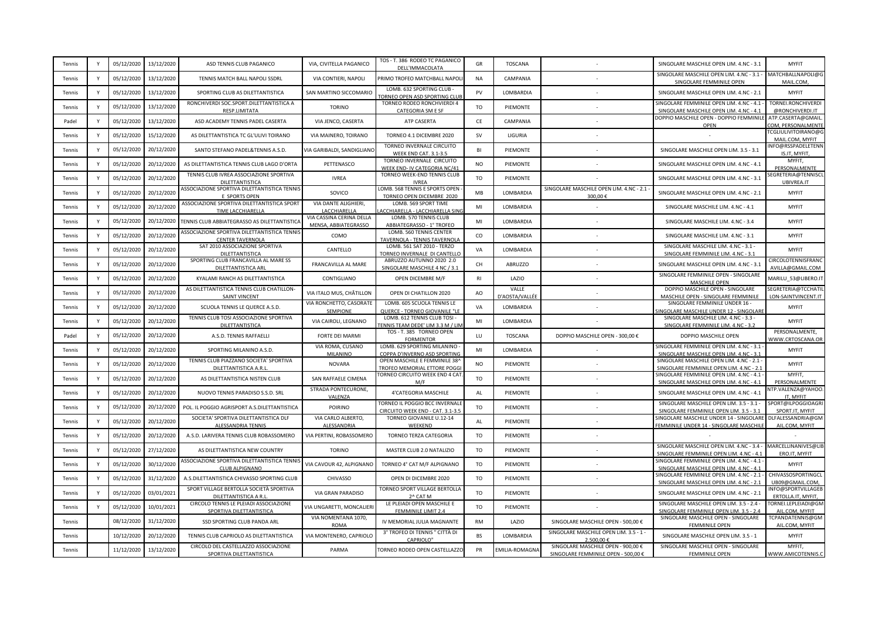| Tennis | Y            | 05/12/2020 | 13/12/2020 | ASD TENNIS CLUB PAGANICO                                                | VIA, CIVITELLA PAGANICO                          | TOS - T. 386 RODEO TC PAGANICO<br>DELL'IMMACOLATA                        | GR             | <b>TOSCANA</b>          |                                                                           | SINGOLARE MASCHILE OPEN LIM. 4.NC - 3.1                                               | <b>MYFIT</b>                               |
|--------|--------------|------------|------------|-------------------------------------------------------------------------|--------------------------------------------------|--------------------------------------------------------------------------|----------------|-------------------------|---------------------------------------------------------------------------|---------------------------------------------------------------------------------------|--------------------------------------------|
| Tennis | Y            | 05/12/2020 | 13/12/2020 | TENNIS MATCH BALL NAPOLI SSDRL                                          | VIA CONTIERI, NAPOLI                             | PRIMO TROFEO MATCHBALL NAPOL                                             | <b>NA</b>      | CAMPANIA                |                                                                           | SINGOLARE MASCHILE OPEN LIM. 4.NC - 3.1 -<br>SINGOLARE FEMMINILE OPEN                 | MATCHBALLNAPOLI@G<br>MAIL.COM              |
| Tennis | Y            | 05/12/2020 | 13/12/2020 | SPORTING CLUB AS DILETTANTISTICA                                        | SAN MARTINO SICCOMARIO                           | LOMB. 632 SPORTING CLUB<br><b>FORNEO OPEN ASD SPORTING CLU</b>           | PV             | LOMBARDIA               |                                                                           | SINGOLARE MASCHILE OPEN LIM. 4.NC - 2.1                                               | <b>MYFIT</b>                               |
| Tennis |              | 05/12/2020 | 13/12/2020 | RONCHIVERDI SOC.SPORT.DILETTANTISTICA A<br>RESP.LIMITATA                | <b>TORINO</b>                                    | TORNEO RODEO RONCHVIERDI 4<br>CATEGORIA SM E SF                          | TO             | PIEMONTE                |                                                                           | SINGOLARE FEMMINILE OPEN LIM. 4.NC - 4.1 -<br>SINGOLARE MASCHILE OPEN LIM. 4.NC - 4.1 | TORNEI.RONCHIVERDI<br>@RONCHIVERDI.IT      |
| Padel  | Y            | 05/12/2020 | 13/12/2020 | ASD ACADEMY TENNIS PADEL CASERTA                                        | VIA JENCO, CASERTA                               | ATP CASERTA                                                              | CE             | CAMPANIA                |                                                                           | DOPPIO MASCHILE OPEN - DOPPIO FEMMINILE<br>OPEN                                       | ATP.CASERTA@GMAIL<br>OM, PERSONALMENT      |
| Tennis |              | 05/12/2020 | 15/12/2020 | AS DILETTANTISTICA TC GL'ULIVI TOIRANO                                  | VIA MAINERO, TOIRANO                             | TORNEO 4.1 DICEMBRE 2020                                                 | <b>SV</b>      | LIGURIA                 |                                                                           |                                                                                       | CGLIULIVITOIRANO@G<br>MAIL.COM, MYFIT      |
| Tennis |              | 05/12/2020 | 20/12/2020 | SANTO STEFANO PADEL&TENNIS A.S.D.                                       | VIA GARIBALDI, SANDIGLIANC                       | TORNEO INVERNALE CIRCUITO<br><b>WEEK END CAT. 3.1-3.5</b>                | BI             | PIEMONTE                |                                                                           | SINGOLARE MASCHILE OPEN LIM. 3.5 - 3.1                                                | NFO@RSSPADELETENN<br>IS.IT, MYFIT          |
| Tennis | Y            | 05/12/2020 | 20/12/2020 | AS DILETTANTISTICA TENNIS CLUB LAGO D'ORTA                              | PETTENASCO                                       | TORNEO INVERNALE CIRCUITO<br>WEEK END- IV CATEGORIA NC/41                | <b>NO</b>      | PIEMONTE                |                                                                           | SINGOLARE MASCHILE OPEN LIM. 4.NC - 4.1                                               | MYFIT,<br>PERSONALMENTE                    |
| Tennis | Y            | 05/12/2020 | 20/12/2020 | TENNIS CLUB IVREA ASSOCIAZIONE SPORTIVA<br>DILETTANTISTICA              | <b>IVREA</b>                                     | TORNEO WEEK-END TENNIS CLUB<br><b>IVRFA</b>                              | TO             | PIEMONTE                |                                                                           | SINGOLARE MASCHILE OPEN LIM. 4.NC - 3.1                                               | EGRETERIA@TENNISCI<br>UBIVREA.IT           |
| Tennis | Y            | 05/12/2020 | 20/12/2020 | ASSOCIAZIONE SPORTIVA DILETTANTISTICA TENNIS<br>E SPORTS OPEN           | SOVICO                                           | OMB. 568 TENNIS E SPORTS OPEN<br>TORNEO OPEN DICEMBRE 2020               | MB             | LOMBARDIA               | SINGOLARE MASCHILE OPEN LIM. 4.NC - 2.1 -<br>300,00€                      | SINGOLARE MASCHILE OPEN LIM. 4.NC - 2.1                                               | <b>MYFIT</b>                               |
| Tennis |              | 05/12/2020 | 20/12/2020 | ASSOCIAZIONE SPORTIVA DILETTANTISTICA SPORT<br>TIME LACCHIARELLA        | VIA DANTE ALIGHIERI,<br>LACCHIARELLA             | LOMB. 569 SPORT TIME<br><b>ACCHIARELLA - LACCHIARELLA SINO</b>           | MI             | LOMBARDIA               |                                                                           | SINGOLARE MASCHILE LIM. 4.NC - 4.1                                                    | <b>MYFIT</b>                               |
| Tennis |              | 05/12/2020 | 20/12/2020 | TENNIS CLUB ABBIATEGRASSO AS DILETTANTISTICA                            | VIA CASSINA CERINA DELLA<br>MENSA, ABBIATEGRASSO | LOMB. 570 TENNIS CLUB<br>ABBIATEGRASSO - 1° TROFEO                       | MI             | LOMBARDIA               |                                                                           | SINGOLARE MASCHILE LIM. 4.NC - 3.4                                                    | <b>MYFIT</b>                               |
| Tennis | <b>V</b>     | 05/12/2020 | 20/12/2020 | ASSOCIAZIONE SPORTIVA DILETTANTISTICA TENNIS<br><b>CENTER TAVERNOLA</b> | COMO                                             | LOMB. 560 TENNIS CENTER<br>TAVERNOLA - TENNIS TAVERNOL                   | <sub>co</sub>  | LOMBARDIA               |                                                                           | SINGOLARE MASCHILE LIM. 4.NC - 3.1                                                    | <b>MYFIT</b>                               |
| Tennis |              | 05/12/2020 | 20/12/2020 | SAT 2010 ASSOCIAZIONE SPORTIVA<br>DILETTANTISTICA                       | CANTELLO                                         | LOMB. 561 SAT 2010 - TERZO<br>TORNEO INVERNALE DI CANTELLO               | VA             | LOMBARDIA               |                                                                           | SINGOLARE MASCHILE LIM. 4.NC - 3.1 -<br>SINGOLARE FEMMINILE LIM. 4.NC - 3.1           | <b>MYFIT</b>                               |
| Tennis | Y            | 05/12/2020 | 20/12/2020 | SPORTING CLUB FRANCAVILLA AL MARE SS<br>DILETTANTISTICA ARL             | FRANCAVILLA AL MARE                              | ABRUZZO AUTUNNO 2020 2.0<br>SINGOLARE MASCHILE 4 NC / 3.                 | CH             | ABRUZZO                 |                                                                           | SINGOLARE MASCHILE OPEN LIM. 4.NC - 3.1                                               | CIRCOLOTENNISFRANO<br>AVILLA@GMAIL.COM     |
| Tennis | Y            | 05/12/2020 | 20/12/2020 | KYALAMI RANCH AS DILETTANTISTICA                                        | CONTIGLIANO                                      | OPEN DICEMBRE M/F                                                        | R1             | LAZIO                   |                                                                           | SINGOLARE FEMMINILE OPEN - SINGOLARE<br><b>MASCHILE OPEN</b>                          | MARILU_53@LIBERO.IT                        |
| Tennis | $\mathsf{Y}$ | 05/12/2020 | 20/12/2020 | AS DILETTANTISTICA TENNIS CLUB CHATILLON-<br><b>SAINT VINCENT</b>       | VIA ITALO MUS, CHÂTILLON                         | OPEN DI CHATILLON 2020                                                   | AO             | VALLE<br>D'AOSTA/VALLÉE |                                                                           | DOPPIO MASCHILE OPEN - SINGOLARE<br>MASCHILE OPEN - SINGOLARE FEMMINILE               | SEGRETERIA@TCCHATIL<br>LON-SAINTVINCENT.IT |
| Tennis | Y            | 05/12/2020 | 20/12/2020 | SCUOLA TENNIS LE QUERCE A.S.D.                                          | VIA RONCHETTO, CASORATE<br>SEMPIONE              | LOMB. 605 SCUOLA TENNIS LE<br>QUERCE - TORNEO GIOVANILE "L               | VA             | LOMBARDIA               |                                                                           | SINGOLARE FEMMINILE UNDER 16 -<br><b>INGOLARE MASCHILE UNDER 12 - SINGOLARE</b>       | <b>MYFIT</b>                               |
| Tennis |              | 05/12/2020 | 20/12/2020 | TENNIS CLUB TOSI ASSOCIAZIONE SPORTIVA<br>DILETTANTISTICA               | VIA CAIROLI, LEGNANO                             | LOMB. 612 TENNIS CLUB TOSI -<br>ENNIS TEAM DEDE' LIM 3.3 M / LIN         | MI             | LOMBARDIA               |                                                                           | SINGOLARE MASCHILE LIM. 4.NC - 3.3 -<br>SINGOLARE FEMMINILE LIM. 4.NC - 3.2           | <b>MYFIT</b>                               |
| Padel  | $\mathsf{v}$ | 05/12/2020 | 20/12/2020 | A.S.D. TENNIS RAFFAELLI                                                 | FORTE DEI MARMI                                  | TOS - T. 385 TORNEO OPEN<br><b>FORMENTOR</b>                             | LU             | TOSCANA                 | DOPPIO MASCHILE OPEN - 300,00 €                                           | DOPPIO MASCHILE OPEN                                                                  | PERSONALMENTE,<br>VWW.CRTOSCANA.OR         |
| Tennis |              | 05/12/2020 | 20/12/2020 | SPORTING MILANINO A.S.D.                                                | VIA ROMA, CUSANO<br>MILANINO                     | LOMB. 629 SPORTING MILANINO<br>COPPA D'INVERNO ASD SPORTING              | MI             | LOMBARDIA               |                                                                           | SINGOLARE FEMMINILE OPEN LIM. 4.NC - 3.1 -<br>SINGOLARE MASCHILE OPEN LIM. 4.NC - 3.1 | <b>MYFIT</b>                               |
| Tennis |              | 05/12/2020 | 20/12/2020 | TENNIS CLUB PIAZZANO SOCIETA' SPORTIVA<br>DILETTANTISTICA A.R.I         | <b>NOVARA</b>                                    | OPEN MASCHILE E FEMMINILE 38<br>TROFEO MEMORIAL ETTORE POGG              | <b>NO</b>      | PIEMONTE                |                                                                           | SINGOLARE MASCHILE OPEN LIM. 4.NC - 2.1 -<br>SINGOLARE FEMMINILE OPEN LIM. 4.NC - 2.1 | <b>MYFIT</b>                               |
| Tennis | Y            | 05/12/2020 | 20/12/2020 | AS DILETTANTISTICA NISTEN CLUB                                          | SAN RAFFAELE CIMENA                              | <b>FORNEO CIRCUITO WEEK END 4 CAT</b><br>M/F                             | TO             | PIEMONTE                |                                                                           | SINGOLARE FEMMINILE OPEN LIM. 4.NC - 4.1 -<br>SINGOLARE MASCHILE OPEN LIM. 4.NC - 4.1 | MYFIT,<br>PERSONALMENTE                    |
| Tennis | Y            | 05/12/2020 | 20/12/2020 | NUOVO TENNIS PARADISO S.S.D. SRL                                        | STRADA PONTECURONE,<br>VALENZA                   | 4'CATEGORIA MASCHILE                                                     | AL             | PIEMONTE                |                                                                           | SINGOLARE MASCHILE OPEN LIM. 4.NC - 4.1                                               | TP.VALENZA@YAHOO.<br>IT. MYFIT             |
| Tennis | Y            | 05/12/2020 | 20/12/2020 | POL. IL POGGIO AGRISPORT A.S.DILETTANTISTICA                            | <b>POIRINO</b>                                   | <b>TORNEO IL POGGIO BCC INVERNALE</b><br>CIRCUITO WEEK END - CAT. 3.1-3. | T <sub>O</sub> | PIEMONTE                |                                                                           | SINGOLARE MASCHILE OPEN LIM. 3.5 - 3.1 -<br>SINGOLARE FEMMINILE OPEN LIM. 3.5 - 3.1   | SPORT@ILPOGGIOAGRI<br>SPORT.IT, MYFIT      |
| Tennis | Y            | 05/12/2020 | 20/12/2020 | SOCIETA' SPORTIVA DILETTANTISTICA DLF<br>ALESSANDRIA TENNIS             | VIA CARLO ALBERTO,<br>ALESSANDRIA                | TORNEO GIOVANILE U.12-14<br>WEEKEND                                      | AL             | PIEMONTE                |                                                                           | SINGOLARE MASCHILE UNDER 14 - SINGOLARE<br>FEMMINILE UNDER 14 - SINGOLARE MASCHILE    | DLFALESSANDRIA@GM<br>AIL.COM, MYFIT        |
| Tennis | $\mathsf{v}$ | 05/12/2020 | 20/12/2020 | A.S.D. LARIVERA TENNIS CLUB ROBASSOMERO                                 | VIA PERTINI, ROBASSOMERO                         | TORNEO TERZA CATEGORIA                                                   | <b>TO</b>      | PIEMONTE                |                                                                           |                                                                                       |                                            |
| Tennis | $\mathsf{Y}$ | 05/12/2020 | 27/12/2020 | AS DILETTANTISTICA NEW COUNTRY                                          | <b>TORINO</b>                                    | MASTER CLUB 2.0 NATALIZIO                                                | TO             | PIEMONTE                |                                                                           | SINGOLARE MASCHILE OPEN LIM. 4.NC - 3.4 -<br>SINGOLARE FEMMINILE OPEN LIM, 4.NC - 4.1 | MARCELLINANIVES@LIB<br>ERO.IT, MYFIT       |
| Tennis |              | 05/12/2020 | 30/12/2020 | ASSOCIAZIONE SPORTIVA DILETTANTISTICA TENNIS<br>CLUB ALPIGNANO          | VIA CAVOUR 42, ALPIGNANO                         | TORNEO 4° CAT M/F ALPIGNANO                                              | TO             | PIEMONTE                |                                                                           | SINGOLARE FEMMINILE OPEN LIM. 4.NC - 4.1 -<br>SINGOLARE MASCHILE OPEN LIM. 4.NC - 4.1 | <b>MYFIT</b>                               |
| Tennis |              | 05/12/2020 | 31/12/2020 | A.S.DILETTANTISTICA CHIVASSO SPORTING CLUB                              | CHIVASSO                                         | OPEN DI DICEMBRE 2020                                                    | TO             | PIEMONTE                |                                                                           | SINGOLARE FEMMINILE OPEN LIM. 4.NC - 2.1 -<br>SINGOLARE MASCHILE OPEN LIM. 4.NC - 2.1 | CHIVASSOSPORTINGCL<br>UB09@GMAIL.COM.      |
| Tennis | $\mathsf{Y}$ | 05/12/2020 | 03/01/2021 | SPORT VILLAGE BERTOLLA SOCIETÀ SPORTIVA<br>DILETTANTISTICA A R.L        | VIA GRAN PARADISO                                | TORNEO SPORT VILLAGE BERTOLLA<br>2^ CAT M                                | TO             | PIEMONTE                |                                                                           | SINGOLARE MASCHILE OPEN LIM. 4.NC - 2.1                                               | INFO@SPORTVILLAGEB<br>ERTOLLA.IT, MYFIT,   |
| Tennis | Y            | 05/12/2020 | 10/01/2021 | CIRCOLO TENNIS LE PLEIADI ASSOCIAZIONE<br>SPORTIVA DILETTANTISTICA      | VIA UNGARETTI, MONCALIER                         | LE PLEIADI OPEN MASCHILE E<br>FEMMINILE LIMIT 2.4                        | T <sub>O</sub> | PIEMONTE                |                                                                           | SINGOLARE MASCHILE OPEN LIM. 3.5 - 2.4 -<br>SINGOLARE FEMMINILE OPEN LIM. 3.5 - 2.4   | TORNEI.LEPLEIADI@GM<br>AIL.COM, MYFIT      |
| Tennis |              | 08/12/2020 | 31/12/2020 | SSD SPORTING CLUB PANDA ARL                                             | VIA NOMENTANA 1070,<br><b>ROMA</b>               | IV MEMORIAL JULIA MAGNANTE                                               | <b>RM</b>      | LAZIO                   | SINGOLARE MASCHILE OPEN - 500,00 €                                        | SINGOLARE MASCHILE OPEN - SINGOLARE<br>FEMMINILE OPEN                                 | TCPANDATENNIS@GM<br>AIL.COM, MYFIT         |
| Tennis |              | 10/12/2020 | 20/12/2020 | TENNIS CLUB CAPRIOLO AS DILETTANTISTICA                                 | VIA MONTENERO, CAPRIOLO                          | 3° TROFEO DI TENNIS " CITTÀ DI<br>CAPRIOLO"                              | <b>BS</b>      | LOMBARDIA               | SINGOLARE MASCHILE OPEN LIM. 3.5 - 1 -<br>2.500.00 €                      | SINGOLARE MASCHILE OPEN LIM. 3.5 - 1                                                  | <b>MYFIT</b>                               |
| Tennis |              | 11/12/2020 | 13/12/2020 | CIRCOLO DEL CASTELLAZZO ASSOCIAZIONE<br>SPORTIVA DILETTANTISTICA        | PARMA                                            | TORNEO RODEO OPEN CASTELLAZZO                                            | PR             | EMILIA-ROMAGNA          | SINGOLARE MASCHILE OPEN - 900,00 €<br>SINGOLARE FEMMINILE OPEN - 500,00 € | SINGOLARE MASCHILE OPEN - SINGOLARE<br><b>FEMMINILE OPEN</b>                          | MYFIT,<br>WWW.AMICOTENNIS.C                |